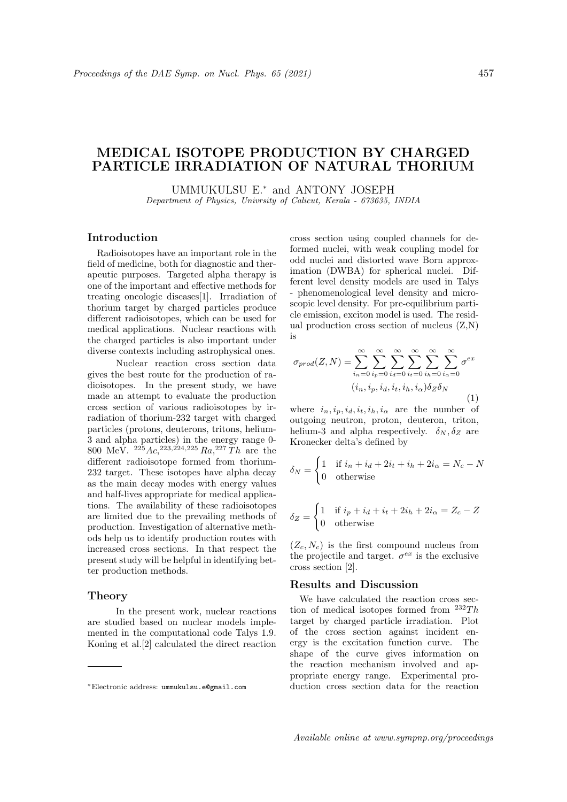# MEDICAL ISOTOPE PRODUCTION BY CHARGED PARTICLE IRRADIATION OF NATURAL THORIUM

UMMUKULSU E.<sup>∗</sup> and ANTONY JOSEPH Department of Physics, Univrsity of Calicut, Kerala - 673635, INDIA

### Introduction

Radioisotopes have an important role in the field of medicine, both for diagnostic and therapeutic purposes. Targeted alpha therapy is one of the important and effective methods for treating oncologic diseases[1]. Irradiation of thorium target by charged particles produce different radioisotopes, which can be used for medical applications. Nuclear reactions with the charged particles is also important under diverse contexts including astrophysical ones.

Nuclear reaction cross section data gives the best route for the production of radioisotopes. In the present study, we have made an attempt to evaluate the production cross section of various radioisotopes by irradiation of thorium-232 target with charged particles (protons, deuterons, tritons, helium-3 and alpha particles) in the energy range 0- 800 MeV.  ${}^{225}Ac, {}^{223,224,225}Ra, {}^{227}Th$  are the different radioisotope formed from thorium-232 target. These isotopes have alpha decay as the main decay modes with energy values and half-lives appropriate for medical applications. The availability of these radioisotopes are limited due to the prevailing methods of production. Investigation of alternative methods help us to identify production routes with increased cross sections. In that respect the present study will be helpful in identifying better production methods.

#### Theory

In the present work, nuclear reactions are studied based on nuclear models implemented in the computational code Talys 1.9. Koning et al.[2] calculated the direct reaction

cross section using coupled channels for deformed nuclei, with weak coupling model for odd nuclei and distorted wave Born approximation (DWBA) for spherical nuclei. Different level density models are used in Talys - phenomenological level density and microscopic level density. For pre-equilibrium particle emission, exciton model is used. The residual production cross section of nucleus (Z,N) is

$$
\sigma_{prod}(Z,N) = \sum_{i_n=0}^{\infty} \sum_{i_p=0}^{\infty} \sum_{i_d=0}^{\infty} \sum_{i_t=0}^{\infty} \sum_{i_h=0}^{\infty} \sum_{i_\alpha=0}^{\infty} \sigma^{ex}
$$

$$
(i_n, i_p, i_d, i_t, i_h, i_\alpha) \delta_Z \delta_N
$$

$$
(1)
$$

where  $i_n, i_p, i_d, i_t, i_h, i_\alpha$  are the number of outgoing neutron, proton, deuteron, triton, helium-3 and alpha respectively.  $\delta_N, \delta_Z$  are Kronecker delta's defined by

$$
\delta_N = \begin{cases} 1 & \text{if } i_n + i_d + 2i_t + i_h + 2i_\alpha = N_c - N \\ 0 & \text{otherwise} \end{cases}
$$

$$
\delta_Z = \begin{cases} 1 & \text{if } i_p + i_d + i_t + 2i_h + 2i_\alpha = Z_c - Z \\ 0 & \text{otherwise} \end{cases}
$$

 $(Z_c, N_c)$  is the first compound nucleus from the projectile and target.  $\sigma^{ex}$  is the exclusive cross section [2].

#### Results and Discussion

We have calculated the reaction cross section of medical isotopes formed from  $^{232}Th$ target by charged particle irradiation. Plot of the cross section against incident energy is the excitation function curve. The shape of the curve gives information on the reaction mechanism involved and appropriate energy range. Experimental production cross section data for the reaction

<sup>∗</sup>Electronic address: ummukulsu.e@gmail.com